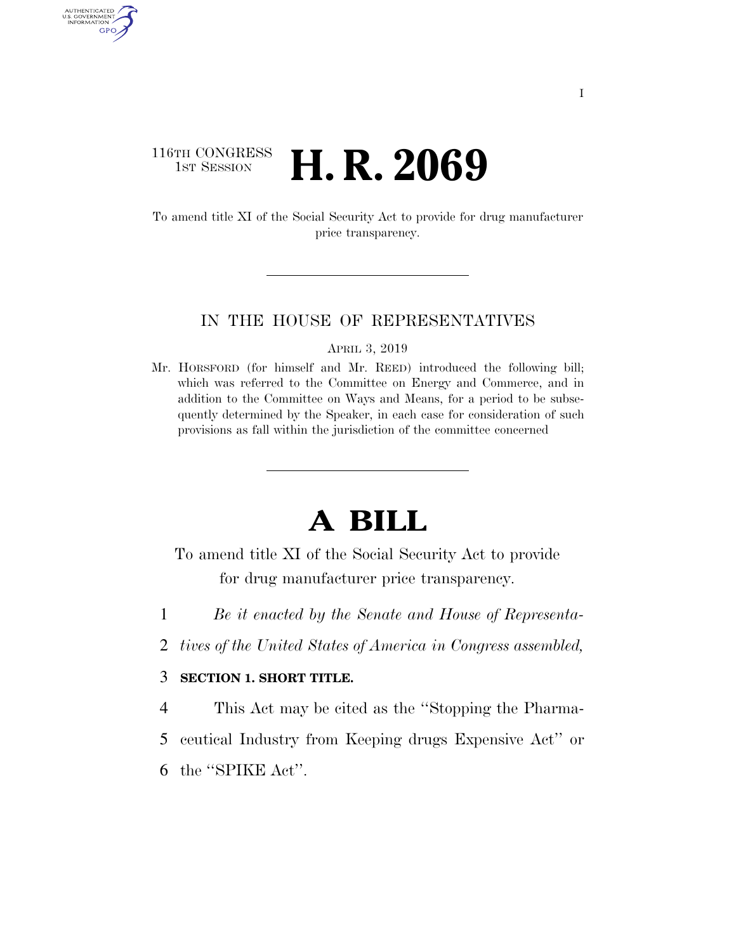## 116TH CONGRESS **1ST SESSION <b>H. R. 2069**

AUTHENTICATED U.S. GOVERNMENT GPO

> To amend title XI of the Social Security Act to provide for drug manufacturer price transparency.

## IN THE HOUSE OF REPRESENTATIVES

APRIL 3, 2019

Mr. HORSFORD (for himself and Mr. REED) introduced the following bill; which was referred to the Committee on Energy and Commerce, and in addition to the Committee on Ways and Means, for a period to be subsequently determined by the Speaker, in each case for consideration of such provisions as fall within the jurisdiction of the committee concerned

## **A BILL**

To amend title XI of the Social Security Act to provide for drug manufacturer price transparency.

- 1 *Be it enacted by the Senate and House of Representa-*
- 2 *tives of the United States of America in Congress assembled,*

## 3 **SECTION 1. SHORT TITLE.**

4 This Act may be cited as the ''Stopping the Pharma-

5 ceutical Industry from Keeping drugs Expensive Act'' or

6 the ''SPIKE Act''.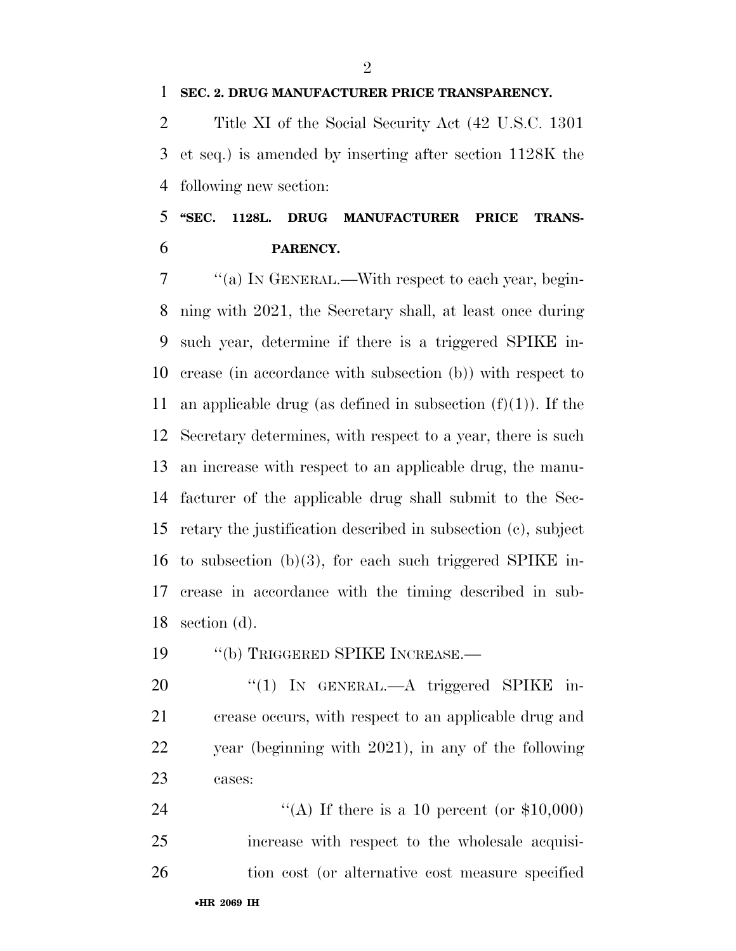**SEC. 2. DRUG MANUFACTURER PRICE TRANSPARENCY.** 

 Title XI of the Social Security Act (42 U.S.C. 1301 et seq.) is amended by inserting after section 1128K the following new section:

 **''SEC. 1128L. DRUG MANUFACTURER PRICE TRANS-PARENCY.** 

 ''(a) IN GENERAL.—With respect to each year, begin- ning with 2021, the Secretary shall, at least once during such year, determine if there is a triggered SPIKE in- crease (in accordance with subsection (b)) with respect to 11 an applicable drug (as defined in subsection  $(f)(1)$ ). If the Secretary determines, with respect to a year, there is such an increase with respect to an applicable drug, the manu- facturer of the applicable drug shall submit to the Sec- retary the justification described in subsection (c), subject to subsection (b)(3), for each such triggered SPIKE in- crease in accordance with the timing described in sub-section (d).

19 "(b) TRIGGERED SPIKE INCREASE.—

20 "(1) In GENERAL.—A triggered SPIKE in- crease occurs, with respect to an applicable drug and year (beginning with 2021), in any of the following cases:

24  $\text{``(A)}$  If there is a 10 percent (or \$10,000) increase with respect to the wholesale acquisi-26 tion cost (or alternative cost measure specified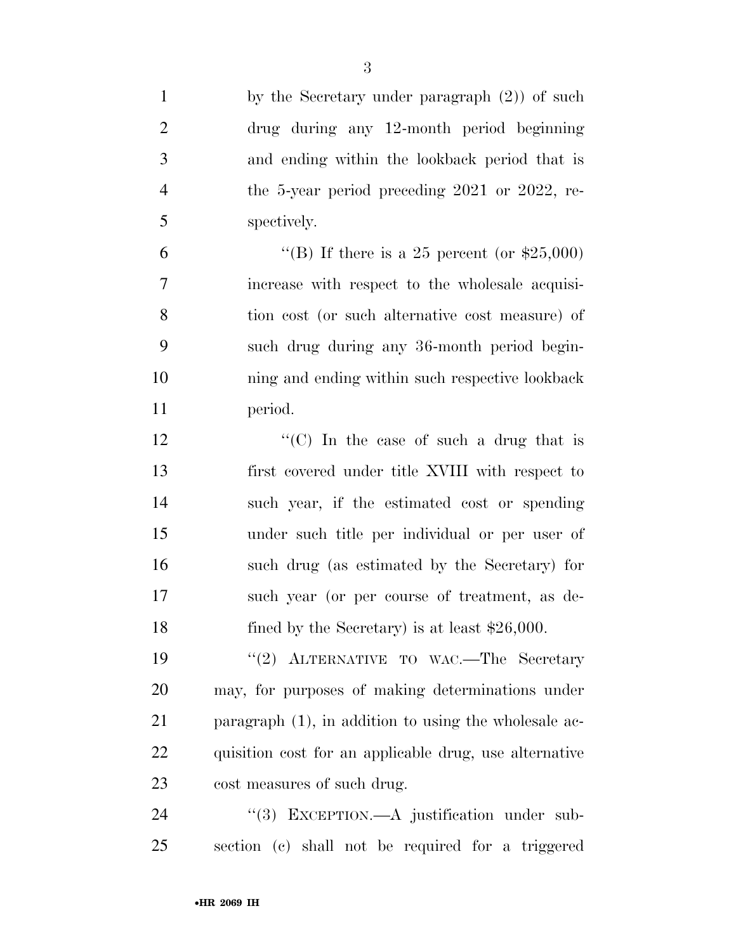| $\mathbf{1}$   | by the Secretary under paragraph $(2)$ of such           |
|----------------|----------------------------------------------------------|
| $\overline{2}$ | drug during any 12-month period beginning                |
| 3              | and ending within the lookback period that is            |
| $\overline{4}$ | the 5-year period preceding 2021 or 2022, re-            |
| 5              | spectively.                                              |
| 6              | "(B) If there is a 25 percent (or $$25,000$ )            |
| 7              | increase with respect to the wholesale acquisi-          |
| 8              | tion cost (or such alternative cost measure) of          |
| 9              | such drug during any 36-month period begin-              |
| 10             | ning and ending within such respective lookback          |
| 11             | period.                                                  |
| 12             | "(C) In the case of such a drug that is                  |
| 13             | first covered under title XVIII with respect to          |
| 14             | such year, if the estimated cost or spending             |
| 15             | under such title per individual or per user of           |
| 16             | such drug (as estimated by the Secretary) for            |
| 17             | such year (or per course of treatment, as de-            |
| 18             | fined by the Secretary) is at least $$26,000$ .          |
| 19             | "(2) ALTERNATIVE TO WAC.—The Secretary                   |
| 20             | may, for purposes of making determinations under         |
| 21             | paragraph $(1)$ , in addition to using the wholesale ac- |
| 22             | quisition cost for an applicable drug, use alternative   |
| 23             | cost measures of such drug.                              |
| 24             | "(3) EXCEPTION.—A justification under sub-               |
| 25             | section (c) shall not be required for a triggered        |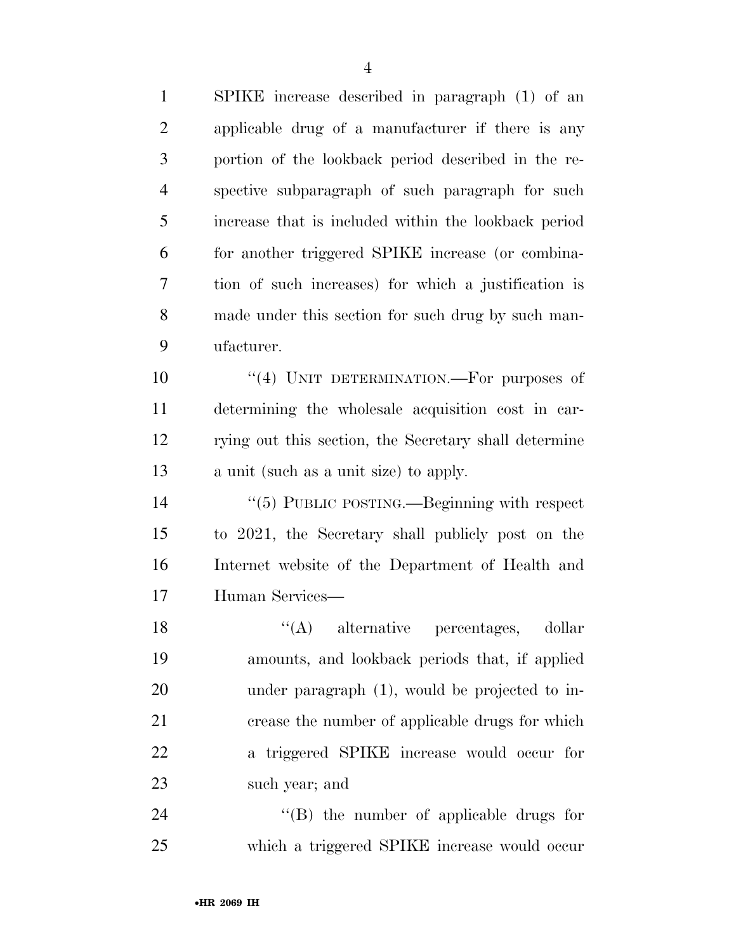| SPIKE increase described in paragraph (1) of an       |
|-------------------------------------------------------|
| applicable drug of a manufacturer if there is any     |
| portion of the lookback period described in the re-   |
| spective subparagraph of such paragraph for such      |
| increase that is included within the lookback period  |
| for another triggered SPIKE increase (or combina-     |
| tion of such increases) for which a justification is  |
| made under this section for such drug by such man-    |
| ufacturer.                                            |
| "(4) UNIT DETERMINATION.—For purposes of              |
| determining the wholesale acquisition cost in car-    |
| rying out this section, the Secretary shall determine |
| a unit (such as a unit size) to apply.                |
| " $(5)$ PUBLIC POSTING.—Beginning with respect        |
| to 2021, the Secretary shall publicly post on the     |
| Internet website of the Department of Health and      |
| Human Services-                                       |
| $\lq\lq$ alternative percentages, dollar              |
| amounts, and lookback periods that, if applied        |
| under paragraph $(1)$ , would be projected to in-     |
| crease the number of applicable drugs for which       |
| a triggered SPIKE increase would occur for            |
| such year; and                                        |
| $\lq\lq$ the number of applicable drugs for           |
|                                                       |

which a triggered SPIKE increase would occur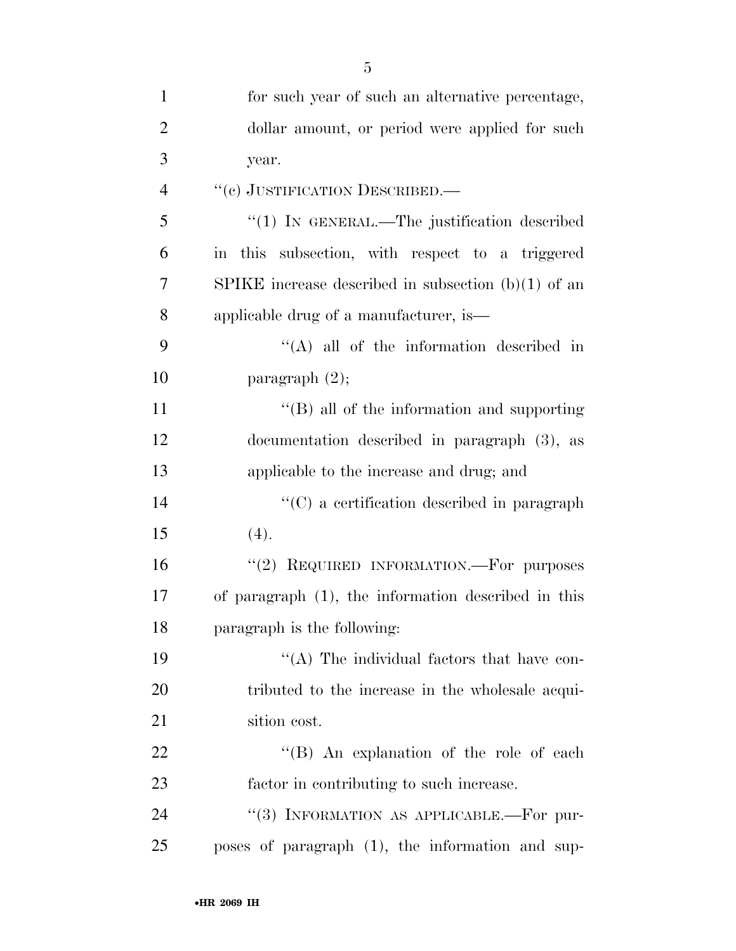|                | 5                                                     |
|----------------|-------------------------------------------------------|
| $\mathbf{1}$   | for such year of such an alternative percentage,      |
| $\overline{2}$ | dollar amount, or period were applied for such        |
| 3              | year.                                                 |
| $\overline{4}$ | "(e) JUSTIFICATION DESCRIBED.-                        |
| 5              | " $(1)$ In GENERAL.—The justification described       |
| 6              | in this subsection, with respect to a triggered       |
| 7              | SPIKE increase described in subsection $(b)(1)$ of an |
| 8              | applicable drug of a manufacturer, is—                |
| 9              | $\lq\lq$ all of the information described in          |
| 10             | paragraph $(2)$ ;                                     |
| 11             | "(B) all of the information and supporting            |
| 12             | documentation described in paragraph (3), as          |
| 13             | applicable to the increase and drug; and              |
| 14             | $\lq\lq$ (C) a certification described in paragraph   |
| 15             | (4).                                                  |
| 16             | REQUIRED INFORMATION.—For purposes<br>(2)             |
| 17             | of paragraph (1), the information described in this   |
| 18             | paragraph is the following:                           |
| 19             | "(A) The individual factors that have con-            |
| 20             | tributed to the increase in the wholesale acqui-      |
| 21             | sition cost.                                          |
| 22             | "(B) An explanation of the role of each               |
| 23             | factor in contributing to such increase.              |
| 24             | "(3) INFORMATION AS APPLICABLE.-For pur-              |
| 25             | poses of paragraph (1), the information and sup-      |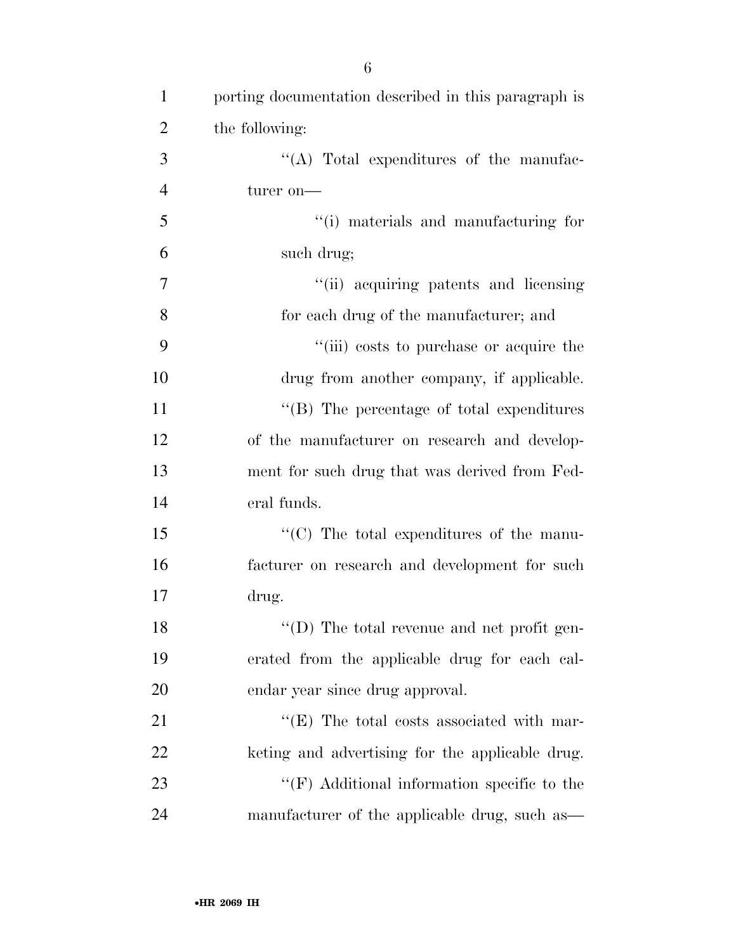| $\mathbf{1}$   | porting documentation described in this paragraph is |
|----------------|------------------------------------------------------|
| $\overline{2}$ | the following:                                       |
| 3              | $\lq\lq$ . Total expenditures of the manufac-        |
| $\overline{4}$ | turer on—                                            |
| 5              | "(i) materials and manufacturing for                 |
| 6              | such drug;                                           |
| 7              | "(ii) acquiring patents and licensing                |
| 8              | for each drug of the manufacturer; and               |
| 9              | "(iii) costs to purchase or acquire the              |
| 10             | drug from another company, if applicable.            |
| 11             | "(B) The percentage of total expenditures            |
| 12             | of the manufacturer on research and develop-         |
| 13             | ment for such drug that was derived from Fed-        |
| 14             | eral funds.                                          |
| 15             | $\lq\lq$ (C) The total expenditures of the manu-     |
| 16             | facturer on research and development for such        |
| 17             | drug.                                                |
| 18             | $\lq\lq$ (D) The total revenue and net profit gen-   |
| 19             | erated from the applicable drug for each cal-        |
| 20             | endar year since drug approval.                      |
| 21             | $\lq\lq$ (E) The total costs associated with mar-    |
| 22             | keting and advertising for the applicable drug.      |
| 23             | $\lq\lq(F)$ Additional information specific to the   |
| 24             | manufacturer of the applicable drug, such as-        |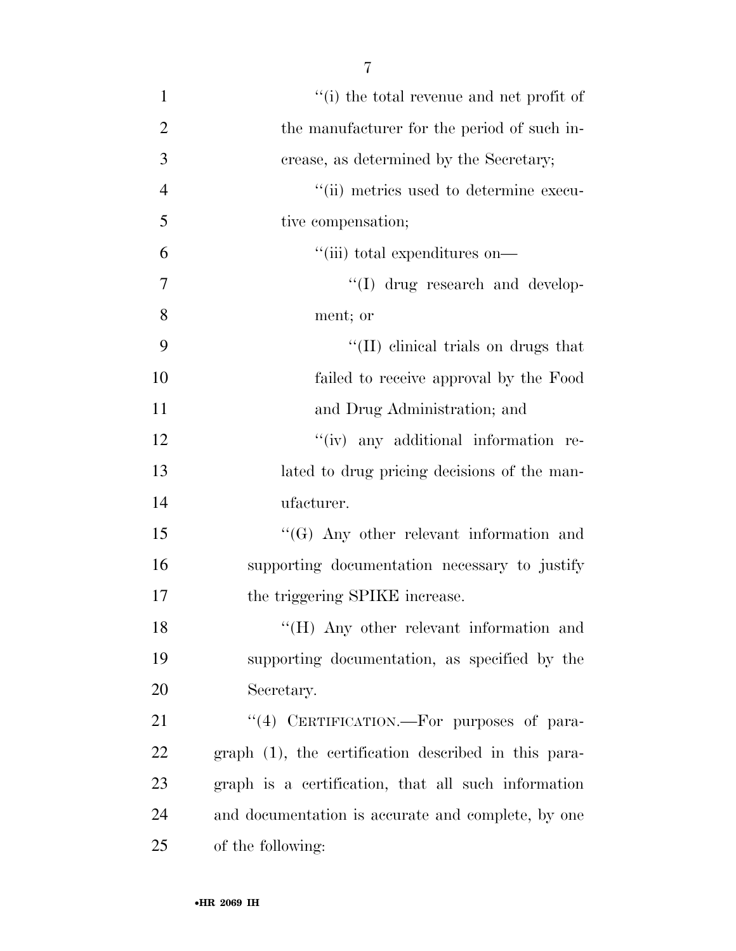- ''(i) the total revenue and net profit of 2 the manufacturer for the period of such in- crease, as determined by the Secretary; ''(ii) metrics used to determine execu- tive compensation; 6  $"$ (iii) total expenditures on—  $\gamma$   $''(I)$  drug research and develop- ment; or 9 ''(II) clinical trials on drugs that failed to receive approval by the Food and Drug Administration; and 12  $\qquad$  ''(iv) any additional information re- lated to drug pricing decisions of the man- ufacturer. ''(G) Any other relevant information and supporting documentation necessary to justify the triggering SPIKE increase. 18 "(H) Any other relevant information and supporting documentation, as specified by the Secretary. 21 "(4) CERTIFICATION.—For purposes of para-graph (1), the certification described in this para-
- graph is a certification, that all such information and documentation is accurate and complete, by one of the following: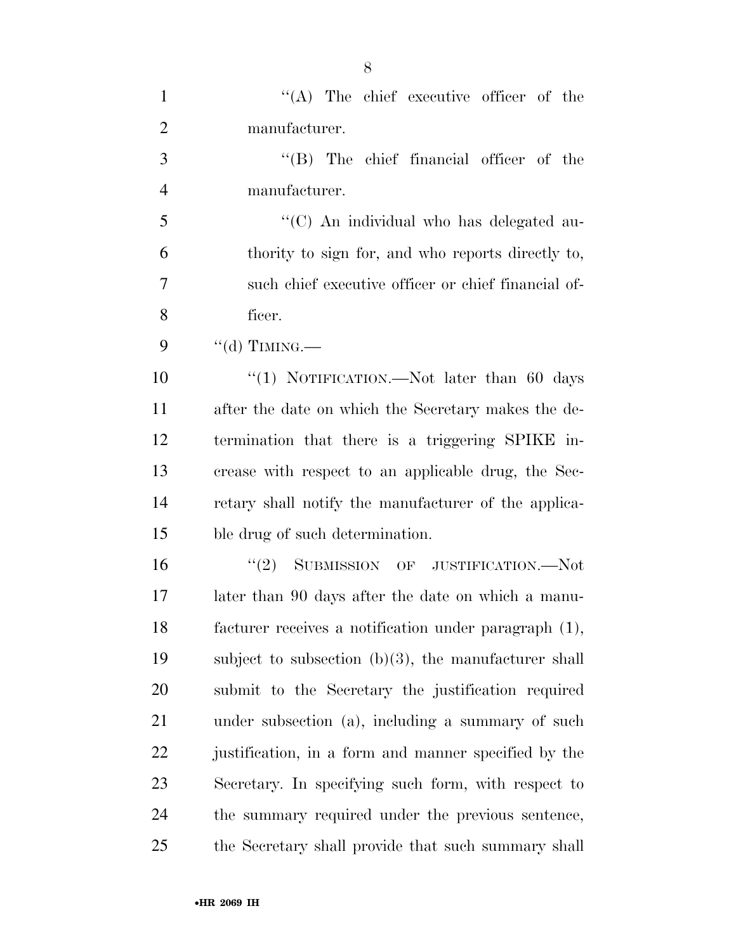| $\mathbf{1}$   | $\lq\lq$ . The chief executive officer of the           |
|----------------|---------------------------------------------------------|
| $\overline{2}$ | manufacturer.                                           |
| 3              | $\lq\lq$ (B) The chief financial officer of the         |
| $\overline{4}$ | manufacturer.                                           |
| 5              | "(C) An individual who has delegated au-                |
| 6              | thority to sign for, and who reports directly to,       |
| 7              | such chief executive officer or chief financial of-     |
| 8              | ficer.                                                  |
| 9              | "(d) TIMING.—                                           |
| 10             | "(1) NOTIFICATION.—Not later than 60 days               |
| 11             | after the date on which the Secretary makes the de-     |
| 12             | termination that there is a triggering SPIKE in-        |
| 13             | crease with respect to an applicable drug, the Sec-     |
| 14             | retary shall notify the manufacturer of the applica-    |
| 15             | ble drug of such determination.                         |
| 16             | "(2) SUBMISSION OF JUSTIFICATION.—Not                   |
| 17             | later than 90 days after the date on which a manu-      |
| 18             | facturer receives a notification under paragraph (1),   |
| 19             | subject to subsection $(b)(3)$ , the manufacturer shall |
| 20             | submit to the Secretary the justification required      |
| 21             | under subsection (a), including a summary of such       |
| 22             | justification, in a form and manner specified by the    |
| 23             | Secretary. In specifying such form, with respect to     |
| 24             | the summary required under the previous sentence,       |
| 25             | the Secretary shall provide that such summary shall     |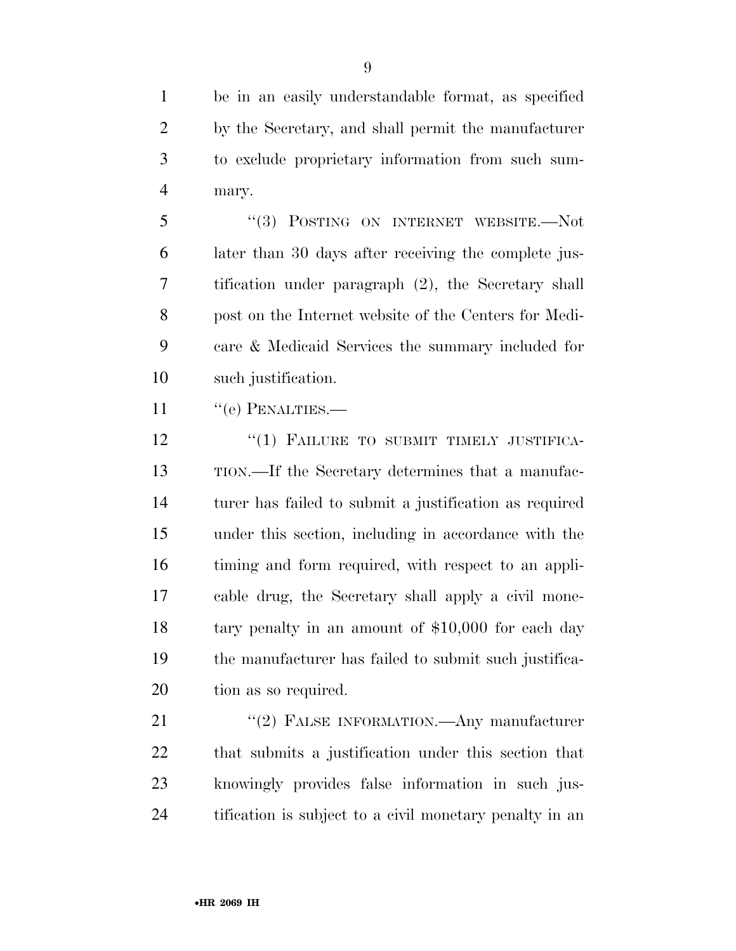be in an easily understandable format, as specified by the Secretary, and shall permit the manufacturer to exclude proprietary information from such sum-mary.

 ''(3) POSTING ON INTERNET WEBSITE.—Not later than 30 days after receiving the complete jus- tification under paragraph (2), the Secretary shall post on the Internet website of the Centers for Medi- care & Medicaid Services the summary included for such justification.

11 " (e) PENALTIES.—

12 "(1) FAILURE TO SUBMIT TIMELY JUSTIFICA- TION.—If the Secretary determines that a manufac- turer has failed to submit a justification as required under this section, including in accordance with the timing and form required, with respect to an appli- cable drug, the Secretary shall apply a civil mone- tary penalty in an amount of \$10,000 for each day the manufacturer has failed to submit such justifica-tion as so required.

21 "(2) FALSE INFORMATION.—Any manufacturer that submits a justification under this section that knowingly provides false information in such jus-tification is subject to a civil monetary penalty in an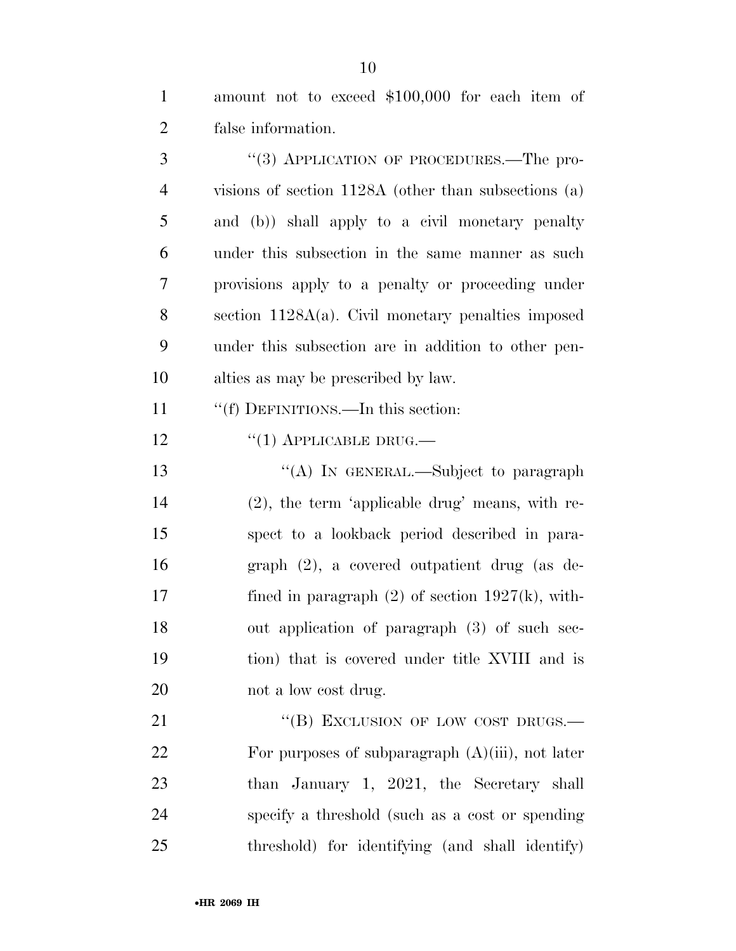| amount not to exceed \$100,000 for each item of |  |  |  |
|-------------------------------------------------|--|--|--|
| false information.                              |  |  |  |

3 "(3) APPLICATION OF PROCEDURES.—The pro- visions of section 1128A (other than subsections (a) and (b)) shall apply to a civil monetary penalty under this subsection in the same manner as such provisions apply to a penalty or proceeding under section 1128A(a). Civil monetary penalties imposed under this subsection are in addition to other pen-alties as may be prescribed by law.

''(f) DEFINITIONS.—In this section:

12 "(1) APPLICABLE DRUG.—

13 "(A) In GENERAL.—Subject to paragraph (2), the term 'applicable drug' means, with re- spect to a lookback period described in para- graph (2), a covered outpatient drug (as de- fined in paragraph (2) of section 1927(k), with- out application of paragraph (3) of such sec- tion) that is covered under title XVIII and is 20 not a low cost drug.

21 "(B) EXCLUSION OF LOW COST DRUGS.— For purposes of subparagraph (A)(iii), not later 23 than January 1, 2021, the Secretary shall specify a threshold (such as a cost or spending threshold) for identifying (and shall identify)